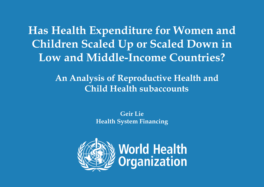**Has Health Expenditure for Women and Children Scaled Up or Scaled Down in Low and Middle-Income Countries?**

> - **An Analysis of Reproductive Health and Child Health subaccounts**

> > **Geir Lie Health System Financing**

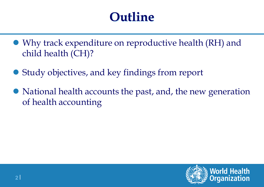### **Outline**

- Why track expenditure on reproductive health (RH) and child health (CH)?
- Study objectives, and key findings from report
- National health accounts the past, and, the new generation of health accounting



**2 |**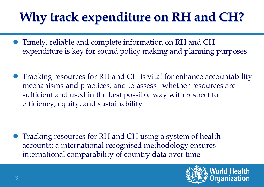### **Why track expenditure on RH and CH?**

- Timely, reliable and complete information on RH and CH expenditure is key for sound policy making and planning purposes
- Tracking resources for RH and CH is vital for enhance accountability mechanisms and practices, and to assess whether resources are sufficient and used in the best possible way with respect to efficiency, equity, and sustainability

 Tracking resources for RH and CH using a system of health accounts; a international recognised methodology ensures international comparability of country data over time

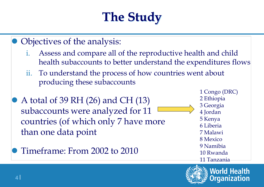# **The Study**

- Objectives of the analysis:
	- i. Assess and compare all of the reproductive health and child health subaccounts to better understand the expenditures flows
	- ii. To understand the process of how countries went about producing these subaccounts
- A total of 39 RH (26) and CH (13) subaccounts were analyzed for 11 countries (of which only 7 have more than one data point
- Timeframe: From 2002 to 2010

1 Congo (DRC) 2 Ethiopia 3 Georgia 4 Jordan 5 Kenya 6 Liberia 7 Malawi 8 Mexico 9 Namibia 10 Rwanda 11 Tanzania



**World Health** Drganization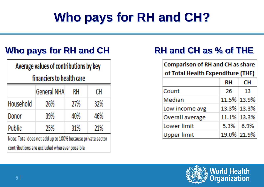### **Who pays for RH and CH?**

### **Who pays for RH and CH RH and CH as % of THE**

Average values of contributions by key

financiers to health care

|                                                            | <b>General NHA</b> | RH  | CН  |
|------------------------------------------------------------|--------------------|-----|-----|
| Household                                                  | 26%                | 27% | 32% |
| Donor                                                      | 39%                | 40% | 46% |
| <b>Public</b>                                              | 25%                | 31% | 21% |
| Note: Total does not add up to 100% because private sector |                    |     |     |

contributions are excluded wherever possible

**Comparison of RH and CH as share** of Total Health Expenditure (THE)

|                        | RH | CH          |
|------------------------|----|-------------|
| Count                  | 26 | 13          |
| Median                 |    | 11.5% 13.9% |
| Low income avg         |    | 13.3% 13.3% |
| <b>Overall average</b> |    | 11.1% 13.3% |
| Lower limit            |    | 5.3% 6.9%   |
| <b>Upper limit</b>     |    | 19.0% 21.9% |

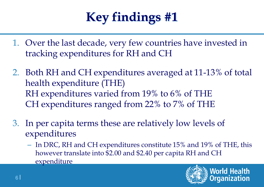# **Key findings #1**

- 1. Over the last decade, very few countries have invested in tracking expenditures for RH and CH
- 2. Both RH and CH expenditures averaged at 11-13% of total health expenditure (THE) RH expenditures varied from 19% to 6% of THE CH expenditures ranged from 22% to 7% of THE
- 3. In per capita terms these are relatively low levels of expenditures
	- In DRC, RH and CH expenditures constitute 15% and 19% of THE, this however translate into \$2.00 and \$2.40 per capita RH and CH expenditure

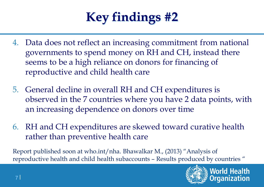### **Key findings #2**

- 4. Data does not reflect an increasing commitment from national governments to spend money on RH and CH, instead there seems to be a high reliance on donors for financing of reproductive and child health care
- 5. General decline in overall RH and CH expenditures is observed in the 7 countries where you have 2 data points, with an increasing dependence on donors over time
- 6. RH and CH expenditures are skewed toward curative health rather than preventive health care

Report published soon at who.int/nha. Bhawalkar M., (2013) "Analysis of reproductive health and child health subaccounts – Results produced by countries "

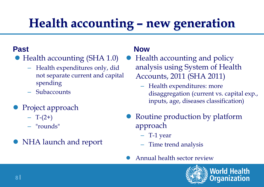### **Health accounting – new generation**

#### **Past**

- Health accounting (SHA 1.0)
	- Health expenditures only, did not separate current and capital spending
	- Subaccounts
- Project approach
	- $T-(2+)$
	- "rounds"
- NHA launch and report

#### **Now**

- Health accounting and policy analysis using System of Health Accounts, 2011 (SHA 2011)
	- Health expenditures: more disaggregation (current vs. capital exp., inputs, age, diseases classification)
- Routine production by platform approach
	- T-1 year
	- Time trend analysis
	- Annual health sector review

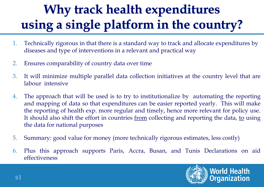# **Why track health expenditures using a single platform in the country?**

- 1. Technically rigorous in that there is a standard way to track and allocate expenditures by diseases and type of interventions in a relevant and practical way
- 2. Ensures comparability of country data over time
- 3. It will minimize multiple parallel data collection initiatives at the country level that are labour intensive
- 4. The approach that will be used is to try to institutionalize by automating the reporting and mapping of data so that expenditures can be easier reported yearly. This will make the reporting of health exp. more regular and timely, hence more relevant for policy use. It should also shift the effort in countries from collecting and reporting the data, to using the data for national purposes
- 5. Summary: good value for money (more technically rigorous estimates, less costly)
- 6. Plus this approach supports Paris, Accra, Busan, and Tunis Declarations on aid effectiveness

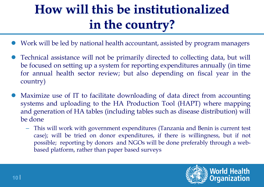### **How will this be institutionalized in the country?**

- Work will be led by national health accountant, assisted by program managers
- Technical assistance will not be primarily directed to collecting data, but will be focused on setting up a system for reporting expenditures annually (in time for annual health sector review; but also depending on fiscal year in the country)
- Maximize use of IT to facilitate downloading of data direct from accounting systems and uploading to the HA Production Tool (HAPT) where mapping and generation of HA tables (including tables such as disease distribution) will be done
	- This will work with government expenditures (Tanzania and Benin is current test case); will be tried on donor expenditures, if there is willingness, but if not possible; reporting by donors and NGOs will be done preferably through a webbased platform, rather than paper based surveys

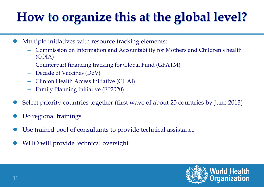### **How to organize this at the global level?**

- Multiple initiatives with resource tracking elements:
	- Commission on Information and Accountability for Mothers and Children's health (COIA)
	- Counterpart financing tracking for Global Fund (GFATM)
	- Decade of Vaccines (DoV)
	- Clinton Health Access Initiative (CHAI)
	- Family Planning Initiative (FP2020)
- Select priority countries together (first wave of about 25 countries by June 2013)
- Do regional trainings
- Use trained pool of consultants to provide technical assistance
- WHO will provide technical oversight

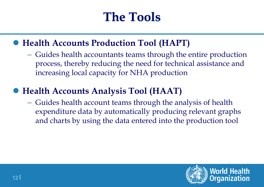### **The Tools**

#### **Health Accounts Production Tool (HAPT)**

– Guides health accountants teams through the entire production process, thereby reducing the need for technical assistance and increasing local capacity for NHA production

#### **Health Accounts Analysis Tool (HAAT)**

– Guides health account teams through the analysis of health expenditure data by automatically producing relevant graphs and charts by using the data entered into the production tool